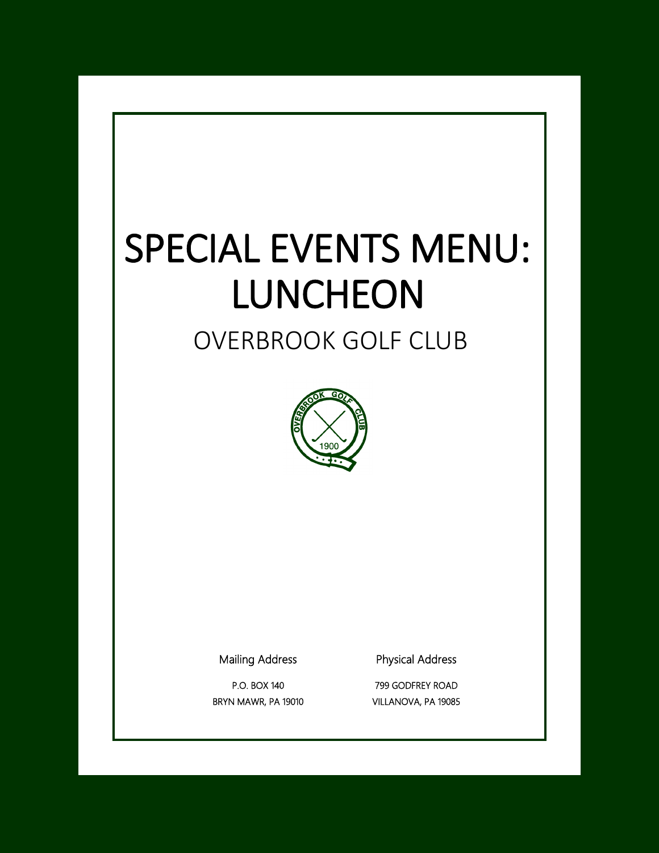# SPECIAL EVENTS MENU: LUNCHEON

# OVERBROOK GOLF CLUB



Mailing Address

P.O. BOX 140 BRYN MAWR, PA 19010 Physical Address

799 GODFREY ROAD VILLANOVA, PA 19085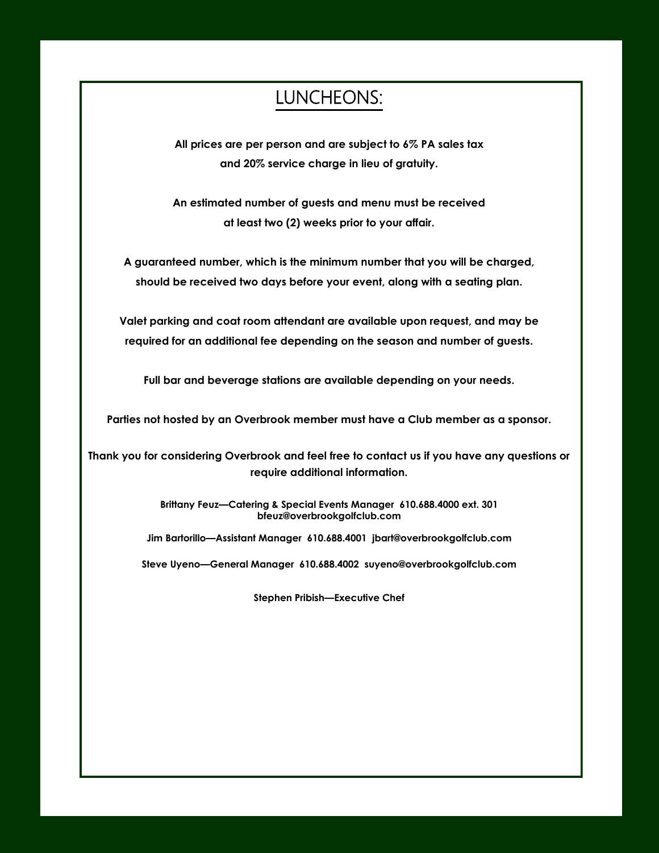# LUNCHEONS:

**All prices are per person and are subject to 6% PA sales tax and 20% service charge in lieu of gratuity.**

**An estimated number of guests and menu must be received at least two (2) weeks prior to your affair.**

**A guaranteed number, which is the minimum number that you will be charged, should be received two days before your event, along with a seating plan.**

**Valet parking and coat room attendant are available upon request, and may be required for an additional fee depending on the season and number of guests.**

**Full bar and beverage stations are available depending on your needs.**

**Parties not hosted by an Overbrook member must have a Club member as a sponsor.**

**Thank you for considering Overbrook and feel free to contact us if you have any questions or require additional information.**

> **Brittany Feuz—Catering & Special Events Manager 610.688.4000 ext. 301 bfeuz@overbrookgolfclub.com**

**Jim Bartorillo—Assistant Manager 610.688.4001 jbart@overbrookgolfclub.com**

**Steve Uyeno—General Manager 610.688.4002 suyeno@overbrookgolfclub.com**

**Stephen Pribish—Executive Chef**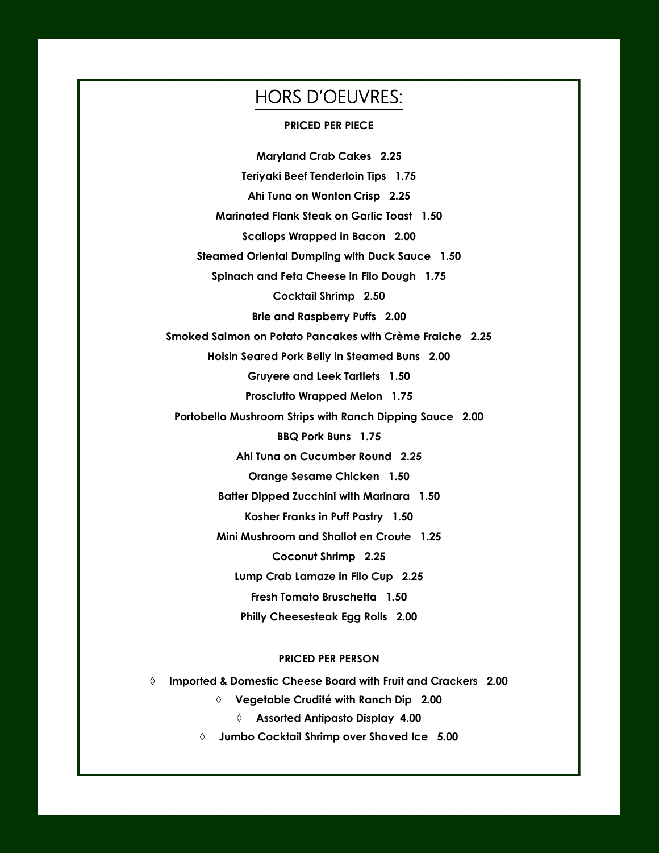# HORS D'OEUVRES:

#### **PRICED PER PIECE**

**Maryland Crab Cakes 2.25 Teriyaki Beef Tenderloin Tips 1.75 Ahi Tuna on Wonton Crisp 2.25 Marinated Flank Steak on Garlic Toast 1.50 Scallops Wrapped in Bacon 2.00 Steamed Oriental Dumpling with Duck Sauce 1.50 Spinach and Feta Cheese in Filo Dough 1.75 Cocktail Shrimp 2.50 Brie and Raspberry Puffs 2.00 Smoked Salmon on Potato Pancakes with Crème Fraiche 2.25 Hoisin Seared Pork Belly in Steamed Buns 2.00 Gruyere and Leek Tartlets 1.50 Prosciutto Wrapped Melon 1.75 Portobello Mushroom Strips with Ranch Dipping Sauce 2.00 BBQ Pork Buns 1.75 Ahi Tuna on Cucumber Round 2.25 Orange Sesame Chicken 1.50 Batter Dipped Zucchini with Marinara 1.50 Kosher Franks in Puff Pastry 1.50 Mini Mushroom and Shallot en Croute 1.25 Coconut Shrimp 2.25 Lump Crab Lamaze in Filo Cup 2.25 Fresh Tomato Bruschetta 1.50 Philly Cheesesteak Egg Rolls 2.00**

#### **PRICED PER PERSON**

**Imported & Domestic Cheese Board with Fruit and Crackers 2.00**

**Vegetable Crudité with Ranch Dip 2.00**

**Assorted Antipasto Display 4.00**

**Jumbo Cocktail Shrimp over Shaved Ice 5.00**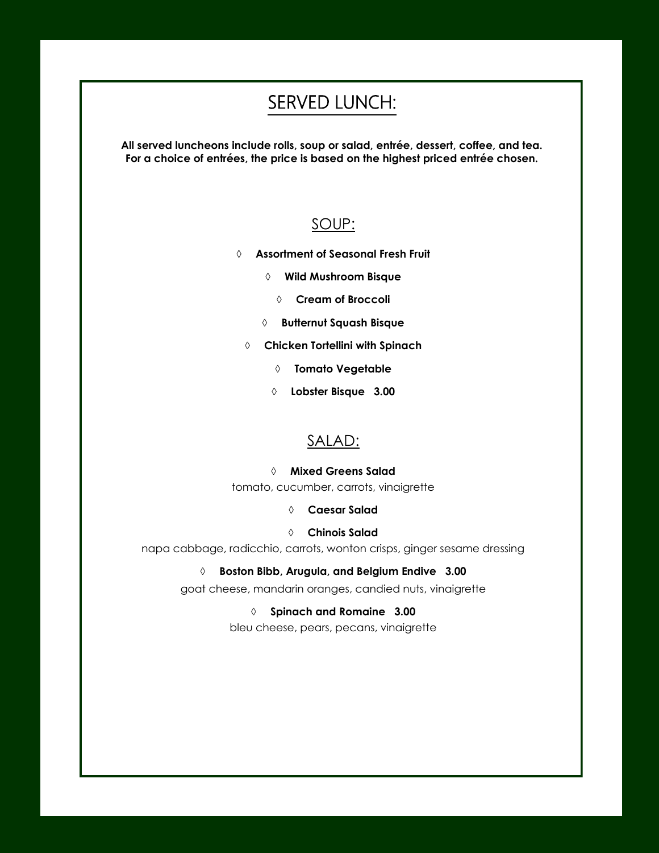# SERVED LUNCH:

**All served luncheons include rolls, soup or salad, entrée, dessert, coffee, and tea. For a choice of entrées, the price is based on the highest priced entrée chosen.**

### SOUP:

- **Assortment of Seasonal Fresh Fruit** 
	- **Wild Mushroom Bisque**
		- **Cream of Broccoli**
	- **Butternut Squash Bisque**
	- **Chicken Tortellini with Spinach**
		- **Tomato Vegetable**
		- **Lobster Bisque 3.00**

### SALAD:

#### **Mixed Greens Salad**

tomato, cucumber, carrots, vinaigrette

**Caesar Salad** 

#### **Chinois Salad**

napa cabbage, radicchio, carrots, wonton crisps, ginger sesame dressing

**Boston Bibb, Arugula, and Belgium Endive 3.00**

goat cheese, mandarin oranges, candied nuts, vinaigrette

 **Spinach and Romaine 3.00** bleu cheese, pears, pecans, vinaigrette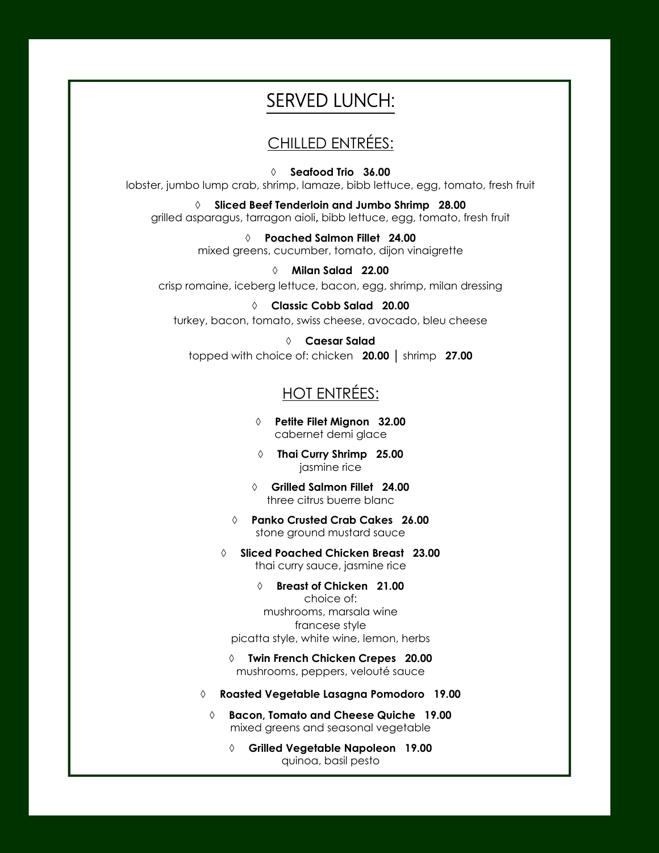# SERVED LUNCH:

# CHILLED ENTRÉES:

 **Seafood Trio 36.00** lobster, jumbo lump crab, shrimp, lamaze, bibb lettuce, egg, tomato, fresh fruit

 **Sliced Beef Tenderloin and Jumbo Shrimp 28.00** grilled asparagus, tarragon aioli**,** bibb lettuce, egg, tomato, fresh fruit

> **Poached Salmon Fillet 24.00** mixed greens, cucumber, tomato, dijon vinaigrette

 **Milan Salad 22.00** crisp romaine, iceberg lettuce, bacon, egg, shrimp, milan dressing

 **Classic Cobb Salad 20.00** turkey, bacon, tomato, swiss cheese, avocado, bleu cheese

 **Caesar Salad**  topped with choice of: chicken **20.00** │ shrimp **27.00**

# HOT ENTRÉES:

 **Petite Filet Mignon 32.00** cabernet demi glace

 **Thai Curry Shrimp 25.00**  jasmine rice

 **Grilled Salmon Fillet 24.00** three citrus buerre blanc

 **Panko Crusted Crab Cakes 26.00** stone ground mustard sauce

 **Sliced Poached Chicken Breast 23.00** thai curry sauce, jasmine rice

 **Breast of Chicken 21.00**  choice of: mushrooms, marsala wine francese style picatta style, white wine, lemon, herbs

 **Twin French Chicken Crepes 20.00** mushrooms, peppers, velouté sauce

**Roasted Vegetable Lasagna Pomodoro 19.00**

 **Bacon, Tomato and Cheese Quiche 19.00** mixed greens and seasonal vegetable

 **Grilled Vegetable Napoleon 19.00** quinoa, basil pesto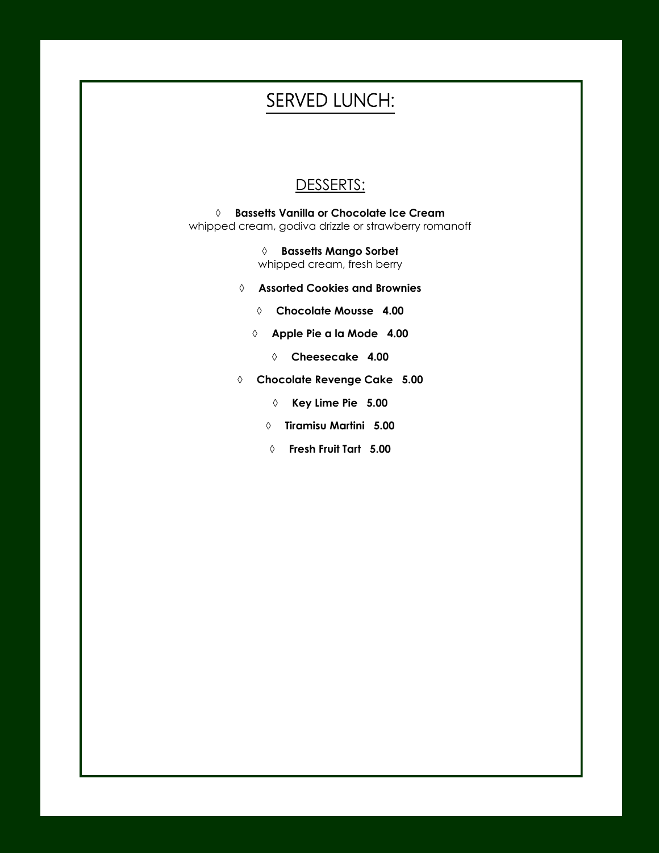# SERVED LUNCH:

### DESSERTS:

 **Bassetts Vanilla or Chocolate Ice Cream** whipped cream, godiva drizzle or strawberry romanoff

> **Bassetts Mango Sorbet** whipped cream, fresh berry

- **Assorted Cookies and Brownies**
	- **Chocolate Mousse 4.00**
	- **Apple Pie a la Mode 4.00**
		- **Cheesecake 4.00**
- **Chocolate Revenge Cake 5.00**
	- **Key Lime Pie 5.00**
	- **Tiramisu Martini 5.00**
	- **Fresh Fruit Tart 5.00**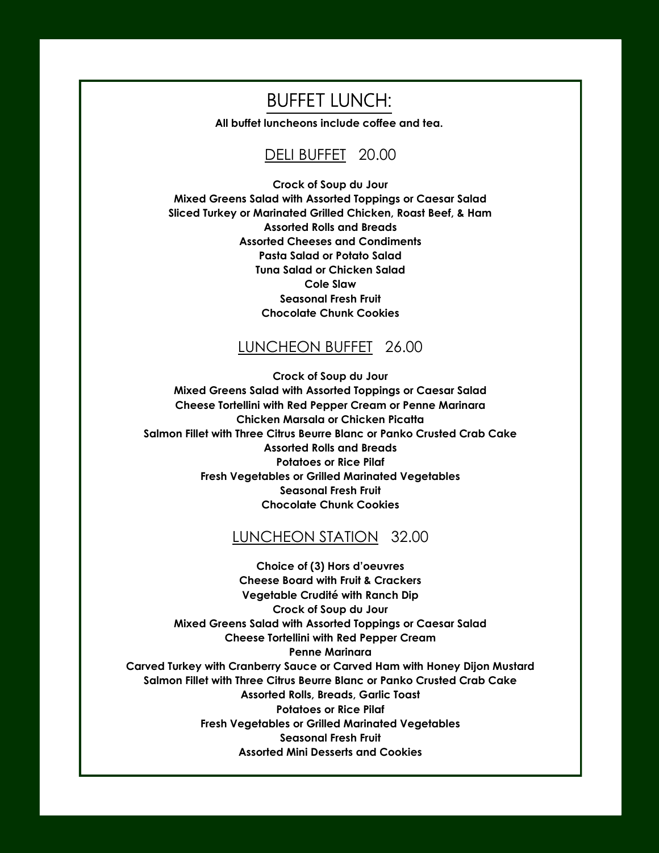# BUFFET LUNCH:

**All buffet luncheons include coffee and tea.**

### DELI BUFFET 20.00

**Crock of Soup du Jour Mixed Greens Salad with Assorted Toppings or Caesar Salad Sliced Turkey or Marinated Grilled Chicken, Roast Beef, & Ham Assorted Rolls and Breads Assorted Cheeses and Condiments Pasta Salad or Potato Salad Tuna Salad or Chicken Salad Cole Slaw Seasonal Fresh Fruit Chocolate Chunk Cookies**

# LUNCHEON BUFFET 26.00

**Crock of Soup du Jour Mixed Greens Salad with Assorted Toppings or Caesar Salad Cheese Tortellini with Red Pepper Cream or Penne Marinara Chicken Marsala or Chicken Picatta Salmon Fillet with Three Citrus Beurre Blanc or Panko Crusted Crab Cake Assorted Rolls and Breads Potatoes or Rice Pilaf Fresh Vegetables or Grilled Marinated Vegetables Seasonal Fresh Fruit Chocolate Chunk Cookies**

#### LUNCHEON STATION 32.00

**Choice of (3) Hors d'oeuvres Cheese Board with Fruit & Crackers Vegetable Crudité with Ranch Dip Crock of Soup du Jour Mixed Greens Salad with Assorted Toppings or Caesar Salad Cheese Tortellini with Red Pepper Cream Penne Marinara Carved Turkey with Cranberry Sauce or Carved Ham with Honey Dijon Mustard Salmon Fillet with Three Citrus Beurre Blanc or Panko Crusted Crab Cake Assorted Rolls, Breads, Garlic Toast Potatoes or Rice Pilaf Fresh Vegetables or Grilled Marinated Vegetables Seasonal Fresh Fruit Assorted Mini Desserts and Cookies**